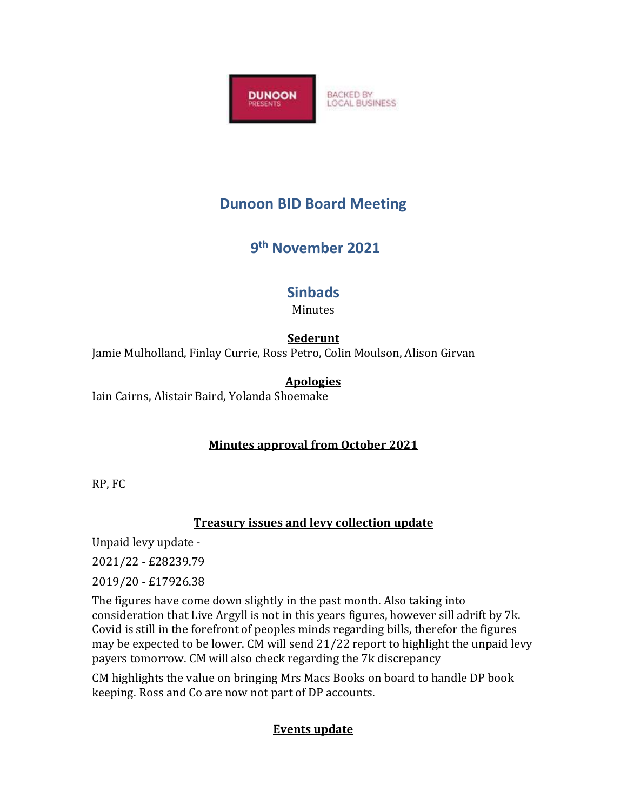

# **Dunoon BID Board Meeting**

# **9 th November 2021**

# **Sinbads**

Minutes

#### **Sederunt**

Jamie Mulholland, Finlay Currie, Ross Petro, Colin Moulson, Alison Girvan

## **Apologies**

Iain Cairns, Alistair Baird, Yolanda Shoemake

## **Minutes approval from October 2021**

RP, FC

## **Treasury issues and levy collection update**

Unpaid levy update -

2021/22 - £28239.79

2019/20 - £17926.38

The figures have come down slightly in the past month. Also taking into consideration that Live Argyll is not in this years figures, however sill adrift by 7k. Covid is still in the forefront of peoples minds regarding bills, therefor the figures may be expected to be lower. CM will send 21/22 report to highlight the unpaid levy payers tomorrow. CM will also check regarding the 7k discrepancy

CM highlights the value on bringing Mrs Macs Books on board to handle DP book keeping. Ross and Co are now not part of DP accounts.

## **Events update**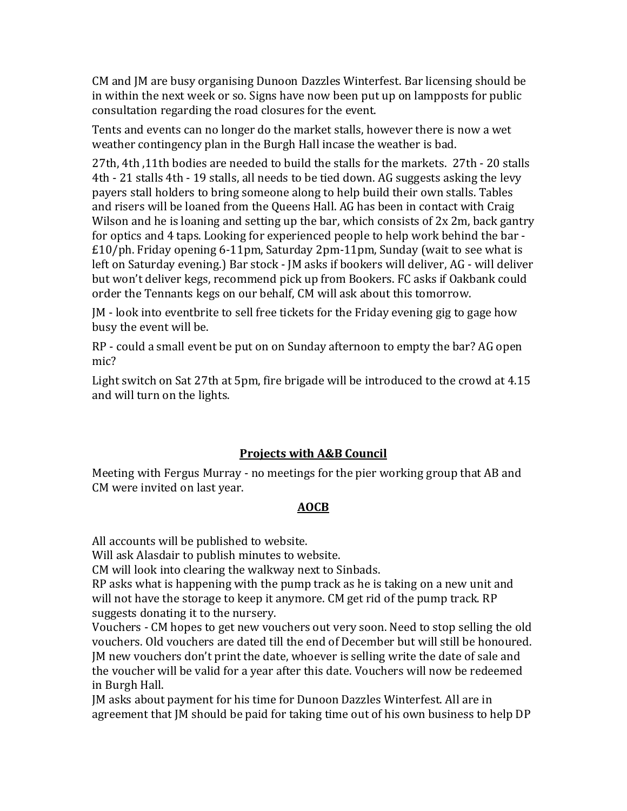CM and JM are busy organising Dunoon Dazzles Winterfest. Bar licensing should be in within the next week or so. Signs have now been put up on lampposts for public consultation regarding the road closures for the event.

Tents and events can no longer do the market stalls, however there is now a wet weather contingency plan in the Burgh Hall incase the weather is bad.

27th, 4th ,11th bodies are needed to build the stalls for the markets. 27th - 20 stalls 4th - 21 stalls 4th - 19 stalls, all needs to be tied down. AG suggests asking the levy payers stall holders to bring someone along to help build their own stalls. Tables and risers will be loaned from the Queens Hall. AG has been in contact with Craig Wilson and he is loaning and setting up the bar, which consists of 2x 2m, back gantry for optics and 4 taps. Looking for experienced people to help work behind the bar - £10/ph. Friday opening 6-11pm, Saturday 2pm-11pm, Sunday (wait to see what is left on Saturday evening.) Bar stock - JM asks if bookers will deliver, AG - will deliver but won't deliver kegs, recommend pick up from Bookers. FC asks if Oakbank could order the Tennants kegs on our behalf, CM will ask about this tomorrow.

JM - look into eventbrite to sell free tickets for the Friday evening gig to gage how busy the event will be.

RP - could a small event be put on on Sunday afternoon to empty the bar? AG open mic?

Light switch on Sat 27th at 5pm, fire brigade will be introduced to the crowd at 4.15 and will turn on the lights.

#### **Projects with A&B Council**

Meeting with Fergus Murray - no meetings for the pier working group that AB and CM were invited on last year.

#### **AOCB**

All accounts will be published to website.

Will ask Alasdair to publish minutes to website.

CM will look into clearing the walkway next to Sinbads.

RP asks what is happening with the pump track as he is taking on a new unit and will not have the storage to keep it anymore. CM get rid of the pump track. RP suggests donating it to the nursery.

Vouchers - CM hopes to get new vouchers out very soon. Need to stop selling the old vouchers. Old vouchers are dated till the end of December but will still be honoured. JM new vouchers don't print the date, whoever is selling write the date of sale and the voucher will be valid for a year after this date. Vouchers will now be redeemed in Burgh Hall.

JM asks about payment for his time for Dunoon Dazzles Winterfest. All are in agreement that JM should be paid for taking time out of his own business to help DP